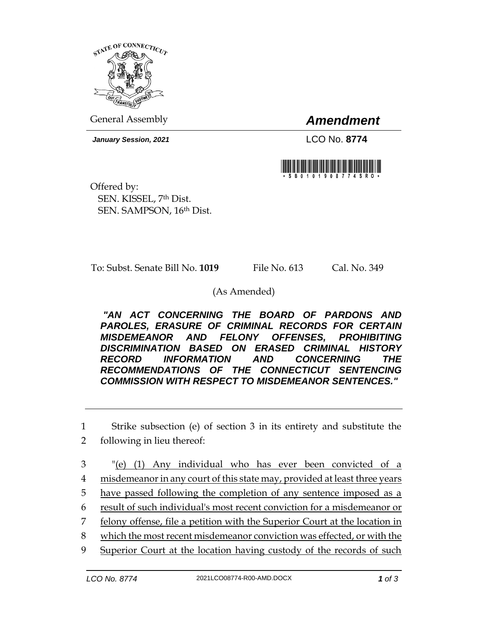

General Assembly *Amendment*

*January Session, 2021* LCO No. **8774**



Offered by: SEN. KISSEL, 7th Dist. SEN. SAMPSON, 16th Dist.

To: Subst. Senate Bill No. **1019** File No. 613 Cal. No. 349

(As Amended)

*"AN ACT CONCERNING THE BOARD OF PARDONS AND PAROLES, ERASURE OF CRIMINAL RECORDS FOR CERTAIN MISDEMEANOR AND FELONY OFFENSES, PROHIBITING DISCRIMINATION BASED ON ERASED CRIMINAL HISTORY RECORD INFORMATION AND CONCERNING THE RECOMMENDATIONS OF THE CONNECTICUT SENTENCING COMMISSION WITH RESPECT TO MISDEMEANOR SENTENCES."* 

1 Strike subsection (e) of section 3 in its entirety and substitute the

2 following in lieu thereof:

 "(e) (1) Any individual who has ever been convicted of a misdemeanor in any court of this state may, provided at least three years have passed following the completion of any sentence imposed as a result of such individual's most recent conviction for a misdemeanor or felony offense, file a petition with the Superior Court at the location in which the most recent misdemeanor conviction was effected, or with the Superior Court at the location having custody of the records of such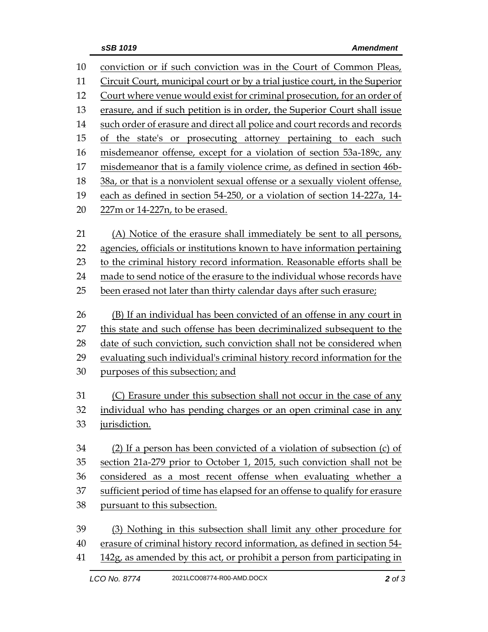| 10 | conviction or if such conviction was in the Court of Common Pleas,          |
|----|-----------------------------------------------------------------------------|
| 11 | Circuit Court, municipal court or by a trial justice court, in the Superior |
| 12 | Court where venue would exist for criminal prosecution, for an order of     |
| 13 | erasure, and if such petition is in order, the Superior Court shall issue   |
| 14 | such order of erasure and direct all police and court records and records   |
| 15 | of the state's or prosecuting attorney pertaining to each such              |
| 16 | misdemeanor offense, except for a violation of section 53a-189c, any        |
| 17 | misdemeanor that is a family violence crime, as defined in section 46b-     |
| 18 | 38a, or that is a nonviolent sexual offense or a sexually violent offense,  |
| 19 | each as defined in section 54-250, or a violation of section 14-227a, 14-   |
| 20 | 227m or 14-227n, to be erased.                                              |
| 21 | (A) Notice of the erasure shall immediately be sent to all persons,         |
| 22 | agencies, officials or institutions known to have information pertaining    |
| 23 | to the criminal history record information. Reasonable efforts shall be     |
| 24 | made to send notice of the erasure to the individual whose records have     |
| 25 | been erased not later than thirty calendar days after such erasure;         |
|    |                                                                             |
| 26 | (B) If an individual has been convicted of an offense in any court in       |
| 27 | this state and such offense has been decriminalized subsequent to the       |
| 28 | date of such conviction, such conviction shall not be considered when       |
| 29 | evaluating such individual's criminal history record information for the    |
| 30 | purposes of this subsection; and                                            |
| 31 | (C) Erasure under this subsection shall not occur in the case of any        |
| 32 | individual who has pending charges or an open criminal case in any          |
| 33 | jurisdiction.                                                               |
| 34 | (2) If a person has been convicted of a violation of subsection (c) of      |
| 35 | section 21a-279 prior to October 1, 2015, such conviction shall not be      |
| 36 | considered as a most recent offense when evaluating whether a               |
| 37 | sufficient period of time has elapsed for an offense to qualify for erasure |
| 38 | pursuant to this subsection.                                                |
| 39 | (3) Nothing in this subsection shall limit any other procedure for          |

41 142g, as amended by this act, or prohibit a person from participating in